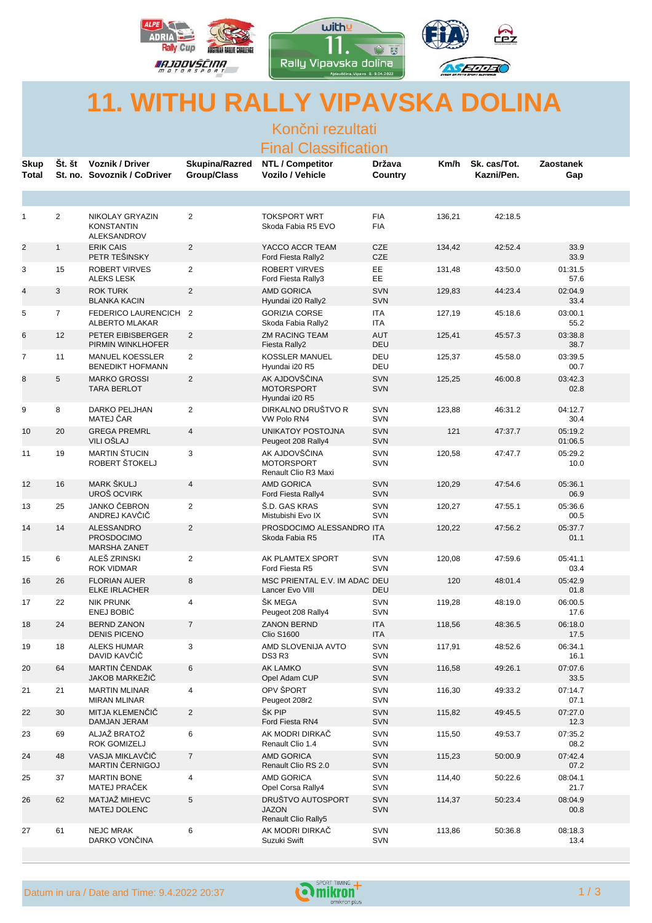

## **11. WITHU RALLY VIPAVSKA DOLINA**

Kon ni rezultati

|                             |                |                                                        |                                             | Final Classification                                       |                          |        |                            |                    |  |
|-----------------------------|----------------|--------------------------------------------------------|---------------------------------------------|------------------------------------------------------------|--------------------------|--------|----------------------------|--------------------|--|
| <b>Skup</b><br><b>Total</b> | Št. št         | <b>Voznik / Driver</b><br>St. no. Sovoznik / CoDriver  | <b>Skupina/Razred</b><br><b>Group/Class</b> | <b>NTL / Competitor</b><br>Vozilo / Vehicle                | Država<br>Country        | Km/h   | Sk. cas/Tot.<br>Kazni/Pen. | Zaostanek<br>Gap   |  |
|                             |                |                                                        |                                             |                                                            |                          |        |                            |                    |  |
| $\mathbf{1}$                | $\overline{2}$ | NIKOLAY GRYAZIN<br><b>KONSTANTIN</b><br>ALEKSANDROV    | $\overline{2}$                              | <b>TOKSPORT WRT</b><br>Skoda Fabia R5 EVO                  | <b>FIA</b><br><b>FIA</b> | 136,21 | 42:18.5                    |                    |  |
| $\overline{2}$              | $\mathbf{1}$   | <b>ERIK CAIS</b><br>PETR TEŠINSKY                      | $\overline{a}$                              | YACCO ACCR TEAM<br>Ford Fiesta Rally2                      | <b>CZE</b><br><b>CZE</b> | 134,42 | 42:52.4                    | 33.9<br>33.9       |  |
| 3                           | 15             | <b>ROBERT VIRVES</b><br><b>ALEKS LESK</b>              | $\overline{2}$                              | <b>ROBERT VIRVES</b><br>Ford Fiesta Rally3                 | EE<br>EE                 | 131,48 | 43:50.0                    | 01:31.5<br>57.6    |  |
| $\overline{\mathbf{4}}$     | 3              | <b>ROK TURK</b><br><b>BLANKA KACIN</b>                 | $\overline{2}$                              | <b>AMD GORICA</b><br>Hyundai i20 Rally2                    | <b>SVN</b><br><b>SVN</b> | 129,83 | 44:23.4                    | 02:04.9<br>33.4    |  |
| 5                           | $\overline{7}$ | FEDERICO LAURENCICH 2<br>ALBERTO MLAKAR                |                                             | <b>GORIZIA CORSE</b><br>Skoda Fabia Rally2                 | ITA<br>ITA               | 127,19 | 45:18.6                    | 03:00.1<br>55.2    |  |
| 6                           | 12             | PETER EIBISBERGER<br>PIRMIN WINKLHOFER                 | $\overline{2}$                              | <b>ZM RACING TEAM</b><br>Fiesta Rally2                     | <b>AUT</b><br>DEU        | 125,41 | 45:57.3                    | 03:38.8<br>38.7    |  |
| $\overline{7}$              | 11             | <b>MANUEL KOESSLER</b><br><b>BENEDIKT HOFMANN</b>      | $\overline{2}$                              | <b>KOSSLER MANUEL</b><br>Hyundai i20 R5                    | DEU<br>DEU               | 125,37 | 45:58.0                    | 03:39.5<br>00.7    |  |
| 8                           | 5              | <b>MARKO GROSSI</b><br><b>TARA BERLOT</b>              | $\overline{c}$                              | AK AJDOVŠ INA<br><b>MOTORSPORT</b><br>Hyundai i20 R5       | <b>SVN</b><br><b>SVN</b> | 125,25 | 46:00.8                    | 03:42.3<br>02.8    |  |
| 9                           | 8              | DARKO PELJHAN<br>MATEJ AR                              | $\overline{2}$                              | DIRKALNO DRUŠTVO R<br>VW Polo RN4                          | <b>SVN</b><br>SVN        | 123,88 | 46:31.2                    | 04:12.7<br>30.4    |  |
| 10                          | 20             | <b>GREGA PREMRL</b><br>VILI OŠLAJ                      | $\overline{4}$                              | <b>UNIKATOY POSTOJNA</b><br>Peugeot 208 Rally4             | <b>SVN</b><br><b>SVN</b> | 121    | 47:37.7                    | 05:19.2<br>01:06.5 |  |
| 11                          | 19             | <b>MARTIN ŠTUCIN</b><br>ROBERT ŠTOKELJ                 | 3                                           | AK AJDOVŠ INA<br><b>MOTORSPORT</b><br>Renault Clio R3 Maxi | SVN<br><b>SVN</b>        | 120,58 | 47:47.7                    | 05:29.2<br>10.0    |  |
| 12                          | 16             | MARK ŠKULJ<br>UROŠ OCVIRK                              | $\overline{4}$                              | <b>AMD GORICA</b><br>Ford Fiesta Rally4                    | <b>SVN</b><br><b>SVN</b> | 120,29 | 47:54.6                    | 05:36.1<br>06.9    |  |
| 13                          | 25             | JANKO EBRON<br>ANDREJ KAV I                            | $\overline{2}$                              | Š.D. GAS KRAS<br>Mistubishi Evo IX                         | <b>SVN</b><br>SVN        | 120,27 | 47:55.1                    | 05:36.6<br>00.5    |  |
| 14                          | 14             | ALESSANDRO<br><b>PROSDOCIMO</b><br><b>MARSHA ZANET</b> | $\overline{2}$                              | PROSDOCIMO ALESSANDRO ITA<br>Skoda Fabia R5                | <b>ITA</b>               | 120,22 | 47:56.2                    | 05:37.7<br>01.1    |  |
| 15                          | 6              | ALEŠ ZRINSKI<br><b>ROK VIDMAR</b>                      | 2                                           | AK PLAMTEX SPORT<br>Ford Fiesta R5                         | <b>SVN</b><br><b>SVN</b> | 120,08 | 47:59.6                    | 05:41.1<br>03.4    |  |
| 16                          | 26             | <b>FLORIAN AUER</b><br><b>ELKE IRLACHER</b>            | 8                                           | MSC PRIENTAL E.V. IM ADAC DEU<br>Lancer Evo VIII           | DEU                      | 120    | 48:01.4                    | 05:42.9<br>01.8    |  |
| 17                          | 22             | <b>NIK PRUNK</b><br><b>ENEJ BOBI</b>                   | 4                                           | ŠK MEGA<br>Peugeot 208 Rally4                              | <b>SVN</b><br><b>SVN</b> | 119,28 | 48:19.0                    | 06:00.5<br>17.6    |  |
| 18                          | 24             | <b>BERND ZANON</b><br><b>DENIS PICENO</b>              | $\overline{7}$                              | <b>ZANON BERND</b><br><b>Clio S1600</b>                    | <b>ITA</b><br>ITA        | 118,56 | 48:36.5                    | 06:18.0<br>17.5    |  |
| 19                          | 18             | <b>ALEKS HUMAR</b><br>DAVID KAV I                      | 3                                           | AMD SLOVENIJA AVTO<br>DS3R3                                | <b>SVN</b><br><b>SVN</b> | 117,91 | 48:52.6                    | 06:34.1<br>16.1    |  |
| 20                          | 64             | MARTIN ENDAK<br><b>JAKOB MARKEZI</b>                   | 6                                           | <b>AK LAMKO</b><br>Opel Adam CUP                           | <b>SVN</b><br><b>SVN</b> | 116,58 | 49:26.1                    | 07:07.6<br>33.5    |  |
| 21                          | 21             | <b>MARTIN MLINAR</b><br>MIRAN MLINAR                   | 4                                           | OPV ŠPORT<br>Peugeot 208r2                                 | SVN<br>SVN               | 116,30 | 49:33.2                    | 07:14.7<br>07.1    |  |
| 22                          | 30             | MITJA KLEMEN I<br>DAMJAN JERAM                         | $\overline{2}$                              | ŠK PIP<br>Ford Fiesta RN4                                  | <b>SVN</b><br><b>SVN</b> | 115,82 | 49:45.5                    | 07:27.0<br>12.3    |  |
| 23                          | 69             | ALJAŽ BRATOŽ<br><b>ROK GOMIZELJ</b>                    | 6                                           | AK MODRI DIRKA<br>Renault Clio 1.4                         | <b>SVN</b><br><b>SVN</b> | 115,50 | 49:53.7                    | 07:35.2<br>08.2    |  |
| 24                          | 48             | VASJA MIKLAV I<br>MARTIN ERNIGOJ                       | $\overline{7}$                              | AMD GORICA<br>Renault Clio RS 2.0                          | <b>SVN</b><br><b>SVN</b> | 115,23 | 50:00.9                    | 07:42.4<br>07.2    |  |
| 25                          | 37             | <b>MARTIN BONE</b><br>MATEJ PRA EK                     | 4                                           | AMD GORICA<br>Opel Corsa Rally4                            | <b>SVN</b><br>SVN        | 114,40 | 50:22.6                    | 08:04.1<br>21.7    |  |
| 26                          | 62             | MATJAŽ MIHEVC<br><b>MATEJ DOLENC</b>                   | 5                                           | DRUŠTVO AUTOSPORT<br><b>JAZON</b><br>Renault Clio Rally5   | <b>SVN</b><br><b>SVN</b> | 114,37 | 50:23.4                    | 08:04.9<br>00.8    |  |
| 27                          | 61             | <b>NEJC MRAK</b><br>DARKO VON INA                      | 6                                           | AK MODRI DIRKA<br>Suzuki Swift                             | <b>SVN</b><br><b>SVN</b> | 113,86 | 50:36.8                    | 08:18.3<br>13.4    |  |

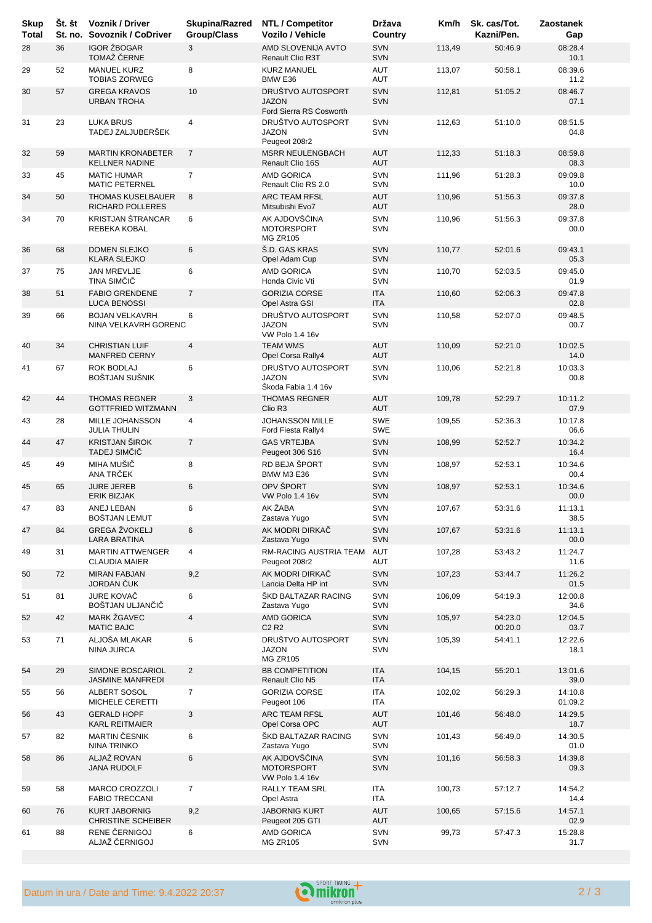| <b>Skup</b><br><b>Total</b> | St. št | <b>Voznik / Driver</b><br>St. no. Sovoznik / CoDriver | <b>Skupina/Razred</b><br><b>Group/Class</b> | <b>NTL / Competitor</b><br>Vozilo / Vehicle                  | Država<br>Country        | Km/h   | Sk. cas/Tot.<br>Kazni/Pen. | Zaostanek<br>Gap   |
|-----------------------------|--------|-------------------------------------------------------|---------------------------------------------|--------------------------------------------------------------|--------------------------|--------|----------------------------|--------------------|
| 28                          | 36     | <b>IGOR ŽBOGAR</b><br>TOMAŽ ERNE                      | 3                                           | AMD SLOVENIJA AVTO<br>Renault Clio R3T                       | SVN<br><b>SVN</b>        | 113,49 | 50:46.9                    | 08:28.4<br>10.1    |
| 29                          | 52     | <b>MANUEL KURZ</b><br><b>TOBIAS ZORWEG</b>            | 8                                           | <b>KURZ MANUEL</b><br>BMW E36                                | AUT<br>AUT               | 113,07 | 50:58.1                    | 08:39.6<br>11.2    |
| 30                          | 57     | <b>GREGA KRAVOS</b><br>URBAN TROHA                    | 10                                          | DRUŠTVO AUTOSPORT<br><b>JAZON</b><br>Ford Sierra RS Cosworth | <b>SVN</b><br><b>SVN</b> | 112,81 | 51:05.2                    | 08:46.7<br>07.1    |
| 31                          | 23     | <b>LUKA BRUS</b><br>TADEJ ZALJUBERŠEK                 | 4                                           | DRUŠTVO AUTOSPORT<br><b>JAZON</b><br>Peugeot 208r2           | SVN<br>SVN               | 112,63 | 51:10.0                    | 08:51.5<br>04.8    |
| 32                          | 59     | <b>MARTIN KRONABETER</b><br><b>KELLNER NADINE</b>     | $\overline{7}$                              | <b>MSRR NEULENGBACH</b><br>Renault Clio 16S                  | <b>AUT</b><br><b>AUT</b> | 112,33 | 51:18.3                    | 08:59.8<br>08.3    |
| 33                          | 45     | <b>MATIC HUMAR</b><br><b>MATIC PETERNEL</b>           | $\overline{7}$                              | AMD GORICA<br>Renault Clio RS 2.0                            | SVN<br><b>SVN</b>        | 111,96 | 51:28.3                    | 09:09.8<br>10.0    |
| 34                          | 50     | <b>THOMAS KUSELBAUER</b><br>RICHARD POLLERES          | 8                                           | ARC TEAM RFSL<br>Mitsubishi Evo7                             | <b>AUT</b><br><b>AUT</b> | 110,96 | 51:56.3                    | 09:37.8<br>28.0    |
| 34                          | 70     | <b>KRISTJAN ŠTRANCAR</b><br>REBEKA KOBAL              | 6                                           | AK AJDOVŠ INA<br><b>MOTORSPORT</b><br><b>MG ZR105</b>        | SVN<br><b>SVN</b>        | 110,96 | 51:56.3                    | 09:37.8<br>00.0    |
| 36                          | 68     | <b>DOMEN SLEJKO</b><br><b>KLARA SLEJKO</b>            | 6                                           | Š.D. GAS KRAS<br>Opel Adam Cup                               | <b>SVN</b><br><b>SVN</b> | 110,77 | 52:01.6                    | 09:43.1<br>05.3    |
| 37                          | 75     | <b>JAN MREVLJE</b><br>TINA SIM I                      | 6                                           | AMD GORICA<br>Honda Civic Vti                                | SVN<br><b>SVN</b>        | 110,70 | 52:03.5                    | 09:45.0<br>01.9    |
| 38                          | 51     | <b>FABIO GRENDENE</b><br><b>LUCA BENOSSI</b>          | $\overline{7}$                              | <b>GORIZIA CORSE</b><br>Opel Astra GSI                       | <b>ITA</b><br><b>ITA</b> | 110,60 | 52:06.3                    | 09:47.8<br>02.8    |
| 39                          | 66     | <b>BOJAN VELKAVRH</b><br>NINA VELKAVRH GORENC         | 6                                           | DRUŠTVO AUTOSPORT<br><b>JAZON</b><br><b>VW Polo 1.4 16v</b>  | SVN<br><b>SVN</b>        | 110,58 | 52:07.0                    | 09:48.5<br>00.7    |
| 40                          | 34     | <b>CHRISTIAN LUIF</b><br><b>MANFRED CERNY</b>         | $\overline{4}$                              | <b>TEAM WMS</b><br>Opel Corsa Rally4                         | <b>AUT</b><br><b>AUT</b> | 110,09 | 52:21.0                    | 10:02.5<br>14.0    |
| 41                          | 67     | ROK BODLAJ<br>BOŠTJAN SUŠNIK                          | 6                                           | DRUŠTVO AUTOSPORT<br><b>JAZON</b><br>Škoda Fabia 1.4 16v     | SVN<br><b>SVN</b>        | 110,06 | 52:21.8                    | 10:03.3<br>00.8    |
| 42                          | 44     | <b>THOMAS REGNER</b><br><b>GOTTFRIED WITZMANN</b>     | 3                                           | <b>THOMAS REGNER</b><br>Clio R <sub>3</sub>                  | <b>AUT</b><br><b>AUT</b> | 109,78 | 52:29.7                    | 10:11.2<br>07.9    |
| 43                          | 28     | MILLE JOHANSSON<br><b>JULIA THULIN</b>                | 4                                           | <b>JOHANSSON MILLE</b><br>Ford Fiesta Rally4                 | <b>SWE</b><br>SWE        | 109,55 | 52:36.3                    | 10:17.8<br>06.6    |
| 44                          | 47     | <b>KRISTJAN ŠIROK</b><br>TADEJ SIM I                  | $\overline{7}$                              | <b>GAS VRTEJBA</b><br>Peugeot 306 S16                        | <b>SVN</b><br><b>SVN</b> | 108,99 | 52:52.7                    | 10:34.2<br>16.4    |
| 45                          | 49     | MIHA MUŠI<br>ANA TR EK                                | 8                                           | RD BEJA ŠPORT<br><b>BMW M3 E36</b>                           | SVN<br><b>SVN</b>        | 108,97 | 52:53.1                    | 10:34.6<br>00.4    |
| 45                          | 65     | <b>JURE JEREB</b><br><b>ERIK BIZJAK</b>               | 6                                           | OPV ŠPORT<br><b>VW Polo 1.4 16v</b>                          | <b>SVN</b><br><b>SVN</b> | 108,97 | 52:53.1                    | 10:34.6<br>00.0    |
| 47                          | 83     | ANEJ LEBAN<br><b>BOSTJAN LEMUT</b>                    | 6                                           | AK ŽABA<br>Zastava Yugo                                      | SVN<br><b>SVN</b>        | 107,67 | 53:31.6                    | 11:13.1<br>38.5    |
| 47                          | 84     | <b>GREGA ŽVOKELJ</b><br>LARA BRATINA                  | 6                                           | AK MODRI DIRKA<br>Zastava Yugo                               | <b>SVN</b><br><b>SVN</b> | 107,67 | 53:31.6                    | 11:13.1<br>00.0    |
| 49                          | 31     | <b>MARTIN ATTWENGER</b><br><b>CLAUDIA MAIER</b>       | $\overline{4}$                              | RM-RACING AUSTRIA TEAM<br>Peugeot 208r2                      | AUT<br>AUT               | 107,28 | 53:43.2                    | 11:24.7<br>11.6    |
| 50                          | 72     | <b>MIRAN FABJAN</b><br>JORDAN UK                      | 9,2                                         | AK MODRI DIRKA<br>Lancia Delta HP int                        | <b>SVN</b><br><b>SVN</b> | 107,23 | 53:44.7                    | 11:26.2<br>01.5    |
| 51                          | 81     | <b>JURE KOVA</b><br>BOŠTJAN ULJAN I                   | 6                                           | ŠKD BALTAZAR RACING<br>Zastava Yugo                          | SVN<br><b>SVN</b>        | 106,09 | 54:19.3                    | 12:00.8<br>34.6    |
| 52                          | 42     | MARK ŽGAVEC<br><b>MATIC BAJC</b>                      | $\overline{4}$                              | <b>AMD GORICA</b><br>C <sub>2</sub> R <sub>2</sub>           | <b>SVN</b><br><b>SVN</b> | 105,97 | 54:23.0<br>00:20.0         | 12:04.5<br>03.7    |
| 53                          | 71     | ALJOŠA MLAKAR<br>NINA JURCA                           | 6                                           | DRUŠTVO AUTOSPORT<br>JAZON<br><b>MG ZR105</b>                | SVN<br><b>SVN</b>        | 105,39 | 54:41.1                    | 12:22.6<br>18.1    |
| 54                          | 29     | SIMONE BOSCARIOL<br><b>JASMINE MANFREDI</b>           | $\overline{2}$                              | <b>BB COMPETITION</b><br>Renault Clio N5                     | <b>ITA</b><br><b>ITA</b> | 104,15 | 55:20.1                    | 13:01.6<br>39.0    |
| 55                          | 56     | ALBERT SOSOL<br>MICHELE CERETTI                       | $\overline{7}$                              | <b>GORIZIA CORSE</b><br>Peugeot 106                          | ITA<br>ITA               | 102,02 | 56:29.3                    | 14:10.8<br>01:09.2 |
| 56                          | 43     | <b>GERALD HOPF</b><br>KARL REITMAIER                  | 3                                           | <b>ARC TEAM RFSL</b><br>Opel Corsa OPC                       | <b>AUT</b><br><b>AUT</b> | 101,46 | 56:48.0                    | 14:29.5<br>18.7    |
| 57                          | 82     | MARTIN ESNIK<br>NINA TRINKO                           | 6                                           | ŠKD BALTAZAR RACING<br>Zastava Yugo                          | SVN<br><b>SVN</b>        | 101,43 | 56:49.0                    | 14:30.5<br>01.0    |
| 58                          | 86     | ALJAŽ ROVAN<br><b>JANA RUDOLF</b>                     | 6                                           | AK AJDOVŠ INA<br><b>MOTORSPORT</b><br><b>VW Polo 1.4 16v</b> | SVN<br><b>SVN</b>        | 101,16 | 56:58.3                    | 14:39.8<br>09.3    |
| 59                          | 58     | <b>MARCO CROZZOLI</b><br><b>FABIO TRECCANI</b>        | $\overline{7}$                              | RALLY TEAM SRL<br>Opel Astra                                 | ITA<br>ITA               | 100,73 | 57:12.7                    | 14:54.2<br>14.4    |
| 60                          | 76     | <b>KURT JABORNIG</b><br><b>CHRISTINE SCHEIBER</b>     | 9,2                                         | <b>JABORNIG KURT</b><br>Peugeot 205 GTI                      | <b>AUT</b><br><b>AUT</b> | 100,65 | 57:15.6                    | 14:57.1<br>02.9    |
| 61                          | 88     | RENE ERNIGOJ<br>ALJAŽ ERNIGOJ                         | 6                                           | AMD GORICA<br><b>MG ZR105</b>                                | SVN<br>SVN               | 99,73  | 57:47.3                    | 15:28.8<br>31.7    |